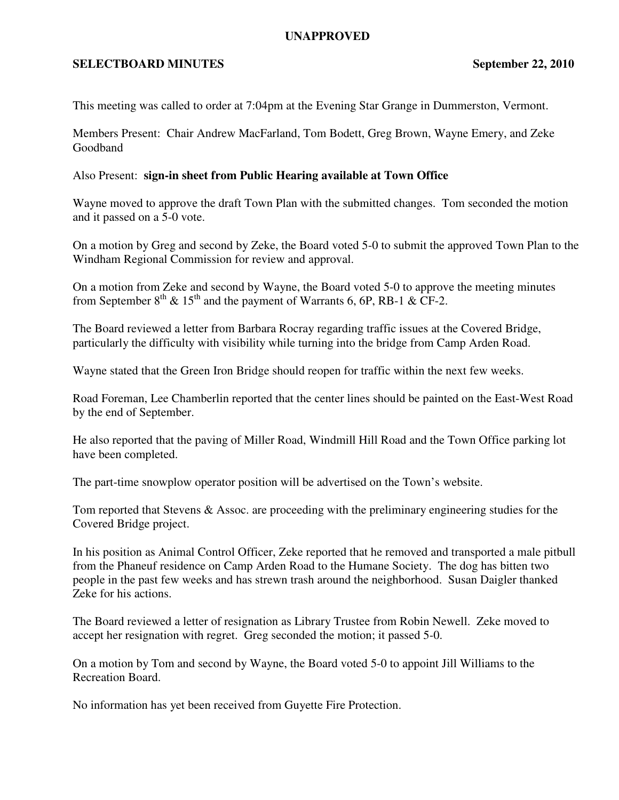## **UNAPPROVED**

## **SELECTBOARD MINUTES** September 22, 2010

This meeting was called to order at 7:04pm at the Evening Star Grange in Dummerston, Vermont.

Members Present: Chair Andrew MacFarland, Tom Bodett, Greg Brown, Wayne Emery, and Zeke Goodband

## Also Present: **sign-in sheet from Public Hearing available at Town Office**

Wayne moved to approve the draft Town Plan with the submitted changes. Tom seconded the motion and it passed on a 5-0 vote.

On a motion by Greg and second by Zeke, the Board voted 5-0 to submit the approved Town Plan to the Windham Regional Commission for review and approval.

On a motion from Zeke and second by Wayne, the Board voted 5-0 to approve the meeting minutes from September  $8^{th}$  &  $15^{th}$  and the payment of Warrants 6, 6P, RB-1 & CF-2.

The Board reviewed a letter from Barbara Rocray regarding traffic issues at the Covered Bridge, particularly the difficulty with visibility while turning into the bridge from Camp Arden Road.

Wayne stated that the Green Iron Bridge should reopen for traffic within the next few weeks.

Road Foreman, Lee Chamberlin reported that the center lines should be painted on the East-West Road by the end of September.

He also reported that the paving of Miller Road, Windmill Hill Road and the Town Office parking lot have been completed.

The part-time snowplow operator position will be advertised on the Town's website.

Tom reported that Stevens & Assoc. are proceeding with the preliminary engineering studies for the Covered Bridge project.

In his position as Animal Control Officer, Zeke reported that he removed and transported a male pitbull from the Phaneuf residence on Camp Arden Road to the Humane Society. The dog has bitten two people in the past few weeks and has strewn trash around the neighborhood. Susan Daigler thanked Zeke for his actions.

The Board reviewed a letter of resignation as Library Trustee from Robin Newell. Zeke moved to accept her resignation with regret. Greg seconded the motion; it passed 5-0.

On a motion by Tom and second by Wayne, the Board voted 5-0 to appoint Jill Williams to the Recreation Board.

No information has yet been received from Guyette Fire Protection.